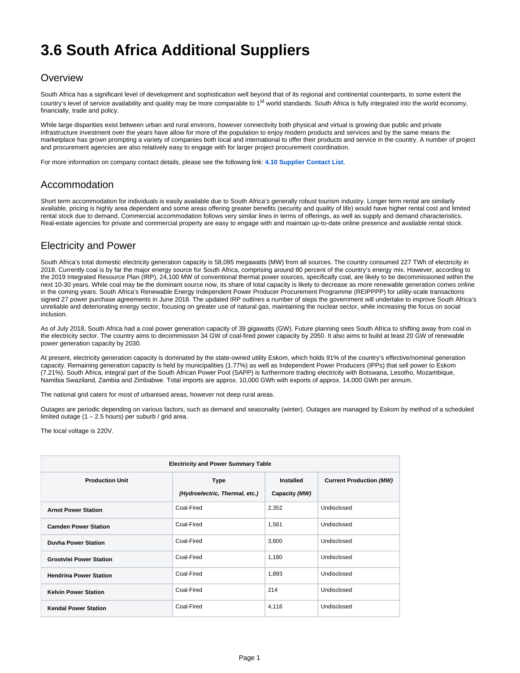# **3.6 South Africa Additional Suppliers**

### **Overview**

South Africa has a significant level of development and sophistication well beyond that of its regional and continental counterparts, to some extent the country's level of service availability and quality may be more comparable to 1<sup>st</sup> world standards. South Africa is fully integrated into the world economy, financially, trade and policy.

While large disparities exist between urban and rural environs, however connectivity both physical and virtual is growing due public and private infrastructure investment over the years have allow for more of the population to enjoy modern products and services and by the same means the marketplace has grown prompting a variety of companies both local and international to offer their products and service in the country. A number of project and procurement agencies are also relatively easy to engage with for larger project procurement coordination.

For more information on company contact details, please see the following link: **[4.10 Supplier Contact List.](https://dlca.logcluster.org/display/DLCA/4.10+South+Africa+Additional+Services+Contact+List)**

### Accommodation

Short term accommodation for individuals is easily available due to South Africa's generally robust tourism industry. Longer term rental are similarly available, pricing is highly area dependent and some areas offering greater benefits (security and quality of life) would have higher rental cost and limited rental stock due to demand. Commercial accommodation follows very similar lines in terms of offerings, as well as supply and demand characteristics. Real-estate agencies for private and commercial property are easy to engage with and maintain up-to-date online presence and available rental stock.

## Electricity and Power

South Africa's total domestic electricity generation capacity is 58,095 megawatts (MW) from all sources. The country consumed 227 TWh of electricity in 2018. Currently coal is by far the major energy source for South Africa, comprising around 80 percent of the country's energy mix. However, according to the 2019 Integrated Resource Plan (IRP), 24,100 MW of conventional thermal power sources, specifically coal, are likely to be decommissioned within the next 10-30 years. While coal may be the dominant source now, its share of total capacity is likely to decrease as more renewable generation comes online in the coming years. South Africa's Renewable Energy Independent Power Producer Procurement Programme (REIPPPP) for utility-scale transactions signed 27 power purchase agreements in June 2018. The updated IRP outlines a number of steps the government will undertake to improve South Africa's unreliable and deteriorating energy sector, focusing on greater use of natural gas, maintaining the nuclear sector, while increasing the focus on social inclusion.

As of July 2018, South Africa had a coal power generation capacity of 39 gigawatts (GW). Future planning sees South Africa to shifting away from coal in the electricity sector. The country aims to decommission 34 GW of coal-fired power capacity by 2050. It also aims to build at least 20 GW of renewable power generation capacity by 2030.

At present, electricity generation capacity is dominated by the state-owned utility Eskom, which holds 91% of the country's effective/nominal generation capacity. Remaining generation capacity is held by municipalities (1.77%) as well as Independent Power Producers (IPPs) that sell power to Eskom (7.21%). South Africa, integral part of the South African Power Pool (SAPP) is furthermore trading electricity with Botswana, Lesotho, Mozambique, Namibia Swaziland, Zambia and Zimbabwe. Total imports are approx. 10,000 GWh with exports of approx. 14,000 GWh per annum.

The national grid caters for most of urbanised areas, however not deep rural areas.

Outages are periodic depending on various factors, such as demand and seasonality (winter). Outages are managed by Eskom by method of a scheduled limited outage  $(1 - 2.5$  hours) per suburb / grid area.

The local voltage is 220V.

| <b>Electricity and Power Summary Table</b> |                                        |                                   |                                |
|--------------------------------------------|----------------------------------------|-----------------------------------|--------------------------------|
| <b>Production Unit</b>                     | Type<br>(Hydroelectric, Thermal, etc.) | <b>Installed</b><br>Capacity (MW) | <b>Current Production (MW)</b> |
| <b>Arnot Power Station</b>                 | Coal-Fired                             | 2,352                             | Undisclosed                    |
| <b>Camden Power Station</b>                | Coal-Fired                             | 1,561                             | Undisclosed                    |
| <b>Duvha Power Station</b>                 | Coal-Fired                             | 3,600                             | Undisclosed                    |
| <b>Grootvlei Power Station</b>             | Coal-Fired                             | 1,180                             | Undisclosed                    |
| <b>Hendrina Power Station</b>              | Coal-Fired                             | 1,893                             | Undisclosed                    |
| <b>Kelvin Power Station</b>                | Coal-Fired                             | 214                               | Undisclosed                    |
| <b>Kendal Power Station</b>                | Coal-Fired                             | 4,116                             | Undisclosed                    |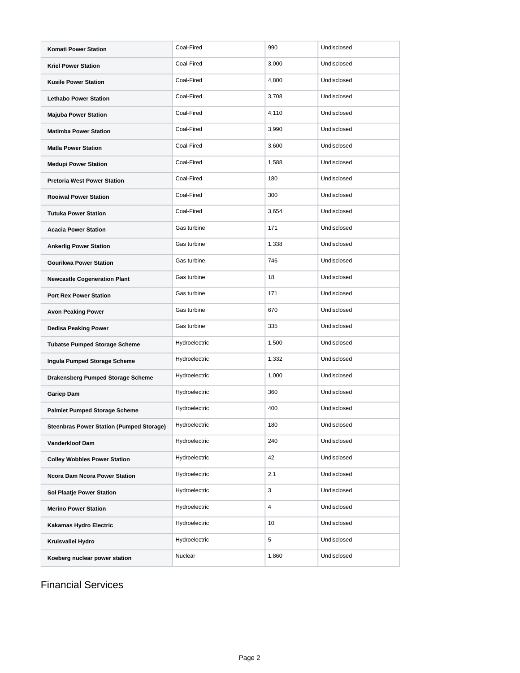| <b>Komati Power Station</b>                     | Coal-Fired    | 990   | Undisclosed |
|-------------------------------------------------|---------------|-------|-------------|
| <b>Kriel Power Station</b>                      | Coal-Fired    | 3,000 | Undisclosed |
| <b>Kusile Power Station</b>                     | Coal-Fired    | 4,800 | Undisclosed |
| <b>Lethabo Power Station</b>                    | Coal-Fired    | 3,708 | Undisclosed |
| <b>Majuba Power Station</b>                     | Coal-Fired    | 4,110 | Undisclosed |
| <b>Matimba Power Station</b>                    | Coal-Fired    | 3,990 | Undisclosed |
| <b>Matla Power Station</b>                      | Coal-Fired    | 3,600 | Undisclosed |
| <b>Medupi Power Station</b>                     | Coal-Fired    | 1,588 | Undisclosed |
| <b>Pretoria West Power Station</b>              | Coal-Fired    | 180   | Undisclosed |
| <b>Rooiwal Power Station</b>                    | Coal-Fired    | 300   | Undisclosed |
| <b>Tutuka Power Station</b>                     | Coal-Fired    | 3,654 | Undisclosed |
| <b>Acacia Power Station</b>                     | Gas turbine   | 171   | Undisclosed |
| <b>Ankerlig Power Station</b>                   | Gas turbine   | 1,338 | Undisclosed |
| <b>Gourikwa Power Station</b>                   | Gas turbine   | 746   | Undisclosed |
| <b>Newcastle Cogeneration Plant</b>             | Gas turbine   | 18    | Undisclosed |
| <b>Port Rex Power Station</b>                   | Gas turbine   | 171   | Undisclosed |
| <b>Avon Peaking Power</b>                       | Gas turbine   | 670   | Undisclosed |
| <b>Dedisa Peaking Power</b>                     | Gas turbine   | 335   | Undisclosed |
| <b>Tubatse Pumped Storage Scheme</b>            | Hydroelectric | 1,500 | Undisclosed |
| Ingula Pumped Storage Scheme                    | Hydroelectric | 1,332 | Undisclosed |
| Drakensberg Pumped Storage Scheme               | Hydroelectric | 1,000 | Undisclosed |
| <b>Gariep Dam</b>                               | Hydroelectric | 360   | Undisclosed |
| <b>Palmiet Pumped Storage Scheme</b>            | Hydroelectric | 400   | Undisclosed |
| <b>Steenbras Power Station (Pumped Storage)</b> | Hydroelectric | 180   | Undisclosed |
| Vanderkloof Dam                                 | Hydroelectric | 240   | Undisclosed |
| <b>Colley Wobbles Power Station</b>             | Hydroelectric | 42    | Undisclosed |
| <b>Ncora Dam Ncora Power Station</b>            | Hydroelectric | 2.1   | Undisclosed |
| <b>Sol Plaatje Power Station</b>                | Hydroelectric | 3     | Undisclosed |
| <b>Merino Power Station</b>                     | Hydroelectric | 4     | Undisclosed |
| Kakamas Hydro Electric                          | Hydroelectric | 10    | Undisclosed |
| Kruisvallei Hydro                               | Hydroelectric | 5     | Undisclosed |
| Koeberg nuclear power station                   | Nuclear       | 1,860 | Undisclosed |

Financial Services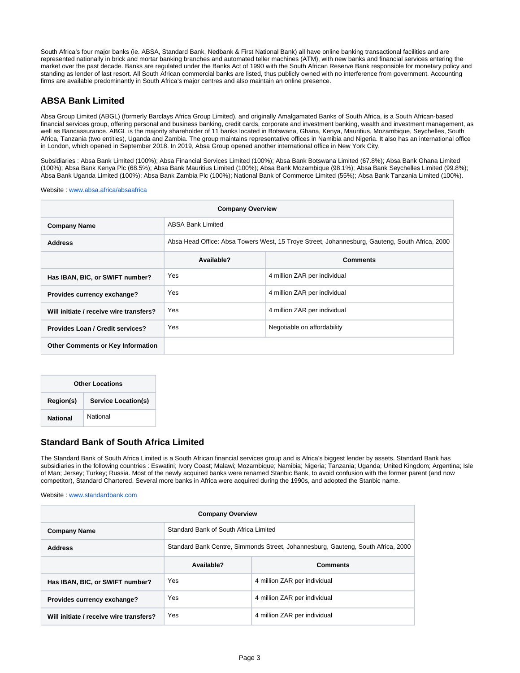South Africa's four major banks (ie. ABSA, Standard Bank, Nedbank & First National Bank) all have online banking transactional facilities and are represented nationally in brick and mortar banking branches and automated teller machines (ATM), with new banks and financial services entering the market over the past decade. Banks are regulated under the Banks Act of 1990 with the South African Reserve Bank responsible for monetary policy and standing as lender of last resort. All South African commercial banks are listed, thus publicly owned with no interference from government. Accounting firms are available predominantly in South Africa's major centres and also maintain an online presence.

#### **ABSA Bank Limited**

Absa Group Limited (ABGL) (formerly Barclays Africa Group Limited), and originally Amalgamated Banks of South Africa, is a South African-based financial services group, offering personal and business banking, credit cards, corporate and investment banking, wealth and investment management, as well as Bancassurance. ABGL is the majority shareholder of 11 banks located in Botswana, Ghana, Kenya, Mauritius, Mozambique, Seychelles, South Africa, Tanzania (two entities), Uganda and Zambia. The group maintains representative offices in Namibia and Nigeria. It also has an international office in London, which opened in September 2018. In 2019, Absa Group opened another international office in New York City.

Subsidiaries : Absa Bank Limited (100%); Absa Financial Services Limited (100%); Absa Bank Botswana Limited (67.8%); Absa Bank Ghana Limited (100%); Absa Bank Kenya Plc (68.5%); Absa Bank Mauritius Limited (100%); Absa Bank Mozambique (98.1%); Absa Bank Seychelles Limited (99.8%); Absa Bank Uganda Limited (100%); Absa Bank Zambia Plc (100%); National Bank of Commerce Limited (55%); Absa Bank Tanzania Limited (100%).

Website : [www.absa.africa/absaafrica](http://www.absa.africa/absaafrica)

| <b>Company Overview</b>                  |                                                                                                |                              |
|------------------------------------------|------------------------------------------------------------------------------------------------|------------------------------|
| <b>Company Name</b>                      | <b>ABSA Bank Limited</b>                                                                       |                              |
| <b>Address</b>                           | Absa Head Office: Absa Towers West, 15 Troye Street, Johannesburg, Gauteng, South Africa, 2000 |                              |
|                                          | Available?                                                                                     | <b>Comments</b>              |
| Has IBAN, BIC, or SWIFT number?          | Yes                                                                                            | 4 million ZAR per individual |
| Provides currency exchange?              | Yes                                                                                            | 4 million ZAR per individual |
| Will initiate / receive wire transfers?  | Yes                                                                                            | 4 million ZAR per individual |
| Provides Loan / Credit services?         | Yes                                                                                            | Negotiable on affordability  |
| <b>Other Comments or Key Information</b> |                                                                                                |                              |

| <b>Other Locations</b>                  |          |
|-----------------------------------------|----------|
| Region(s)<br><b>Service Location(s)</b> |          |
| <b>National</b>                         | National |

#### **Standard Bank of South Africa Limited**

The Standard Bank of South Africa Limited is a South African financial services group and is Africa's biggest lender by assets. Standard Bank has subsidiaries in the following countries : Eswatini; Ivory Coast; Malawi; Mozambique; Namibia; Nigeria; Tanzania; Uganda; United Kingdom; Argentina; Isle of Man; Jersey; Turkey; Russia. Most of the newly acquired banks were renamed Stanbic Bank, to avoid confusion with the former parent (and now competitor), Standard Chartered. Several more banks in Africa were acquired during the 1990s, and adopted the Stanbic name.

Website : [www.standardbank.com](http://www.standardbank.com)

| <b>Company Overview</b>                 |                                                                                  |                              |
|-----------------------------------------|----------------------------------------------------------------------------------|------------------------------|
| <b>Company Name</b>                     | Standard Bank of South Africa Limited                                            |                              |
| <b>Address</b>                          | Standard Bank Centre, Simmonds Street, Johannesburg, Gauteng, South Africa, 2000 |                              |
|                                         | Available?                                                                       | <b>Comments</b>              |
| Has IBAN, BIC, or SWIFT number?         | Yes                                                                              | 4 million ZAR per individual |
| Provides currency exchange?             | Yes                                                                              | 4 million ZAR per individual |
| Will initiate / receive wire transfers? | Yes                                                                              | 4 million ZAR per individual |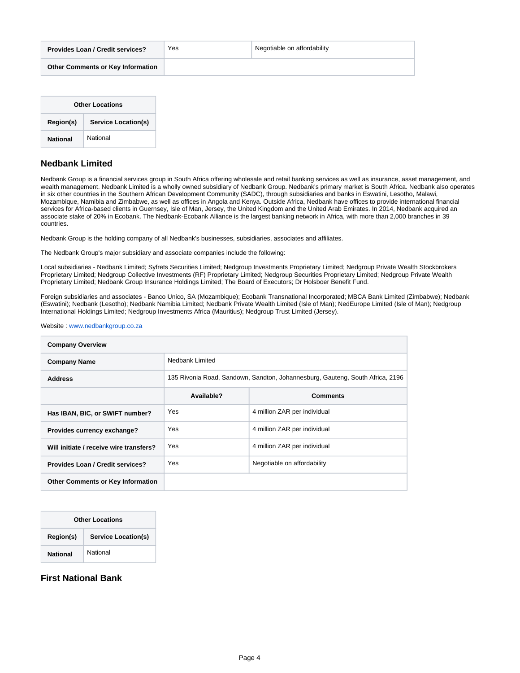| <b>Provides Loan / Credit services?</b> | Yes | Negotiable on affordability |
|-----------------------------------------|-----|-----------------------------|
| Other Comments or Key Information       |     |                             |

| <b>Other Locations</b>                  |          |
|-----------------------------------------|----------|
| Region(s)<br><b>Service Location(s)</b> |          |
| <b>National</b>                         | National |

#### **Nedbank Limited**

Nedbank Group is a financial services group in South Africa offering wholesale and retail banking services as well as insurance, asset management, and wealth management. Nedbank Limited is a wholly owned subsidiary of Nedbank Group. Nedbank's primary market is South Africa. Nedbank also operates in six other countries in the Southern African Development Community (SADC), through subsidiaries and banks in Eswatini, Lesotho, Malawi, Mozambique, Namibia and Zimbabwe, as well as offices in Angola and Kenya. Outside Africa, Nedbank have offices to provide international financial services for Africa-based clients in Guernsey, Isle of Man, Jersey, the United Kingdom and the United Arab Emirates. In 2014, Nedbank acquired an associate stake of 20% in Ecobank. The Nedbank-Ecobank Alliance is the largest banking network in Africa, with more than 2,000 branches in 39 countries.

Nedbank Group is the holding company of all Nedbank's businesses, subsidiaries, associates and affiliates.

The Nedbank Group's major subsidiary and associate companies include the following:

Local subsidiaries - Nedbank Limited; Syfrets Securities Limited; Nedgroup Investments Proprietary Limited; Nedgroup Private Wealth Stockbrokers Proprietary Limited; Nedgroup Collective Investments (RF) Proprietary Limited; Nedgroup Securities Proprietary Limited; Nedgroup Private Wealth Proprietary Limited; Nedbank Group Insurance Holdings Limited; The Board of Executors; Dr Holsboer Benefit Fund.

Foreign subsidiaries and associates - Banco Unico, SA (Mozambique); Ecobank Transnational Incorporated; MBCA Bank Limited (Zimbabwe); Nedbank (Eswatini); Nedbank (Lesotho); Nedbank Namibia Limited; Nedbank Private Wealth Limited (Isle of Man); NedEurope Limited (Isle of Man); Nedgroup International Holdings Limited; Nedgroup Investments Africa (Mauritius); Nedgroup Trust Limited (Jersey).

Website : [www.nedbankgroup.co.za](http://www.nedbankgroup.co.za)

| <b>Company Overview</b>                  |                                                                               |                              |
|------------------------------------------|-------------------------------------------------------------------------------|------------------------------|
| <b>Company Name</b>                      | Nedbank Limited                                                               |                              |
| <b>Address</b>                           | 135 Rivonia Road, Sandown, Sandton, Johannesburg, Gauteng, South Africa, 2196 |                              |
|                                          | Available?                                                                    | <b>Comments</b>              |
| Has IBAN, BIC, or SWIFT number?          | Yes                                                                           | 4 million ZAR per individual |
| Provides currency exchange?              | Yes                                                                           | 4 million ZAR per individual |
| Will initiate / receive wire transfers?  | Yes                                                                           | 4 million ZAR per individual |
| Provides Loan / Credit services?         | Yes                                                                           | Negotiable on affordability  |
| <b>Other Comments or Key Information</b> |                                                                               |                              |

| <b>Other Locations</b> |                            |
|------------------------|----------------------------|
| Region(s)              | <b>Service Location(s)</b> |
| <b>National</b>        | National                   |

**First National Bank**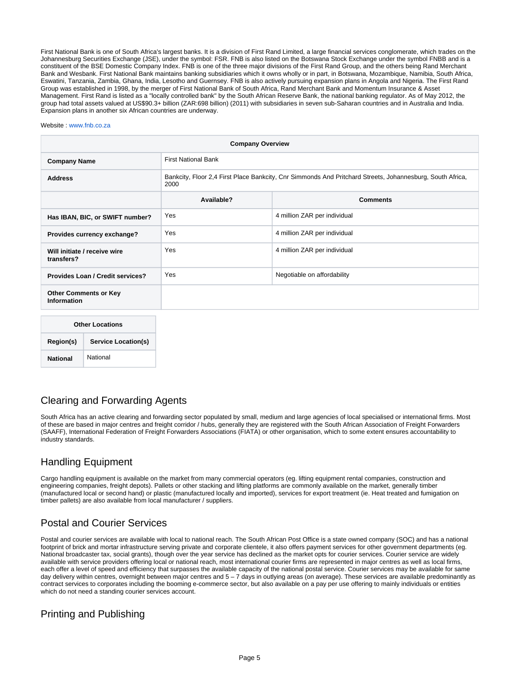First National Bank is one of South Africa's largest banks. It is a division of First Rand Limited, a large financial services conglomerate, which trades on the Johannesburg Securities Exchange (JSE), under the symbol: FSR. FNB is also listed on the Botswana Stock Exchange under the symbol FNBB and is a constituent of the BSE Domestic Company Index. FNB is one of the three major divisions of the First Rand Group, and the others being Rand Merchant Bank and Wesbank. First National Bank maintains banking subsidiaries which it owns wholly or in part, in Botswana, Mozambique, Namibia, South Africa, Eswatini, Tanzania, Zambia, Ghana, India, Lesotho and Guernsey. FNB is also actively pursuing expansion plans in Angola and Nigeria. The First Rand Group was established in 1998, by the merger of First National Bank of South Africa, Rand Merchant Bank and Momentum Insurance & Asset Management. First Rand is listed as a "locally controlled bank" by the South African Reserve Bank, the national banking regulator. As of May 2012, the group had total assets valued at US\$90.3+ billion (ZAR:698 billion) (2011) with subsidiaries in seven sub-Saharan countries and in Australia and India. Expansion plans in another six African countries are underway.

#### Website : [www.fnb.co.za](http://www.fnb.co.za)

| <b>Company Overview</b>                            |                                                                                                                   |                              |
|----------------------------------------------------|-------------------------------------------------------------------------------------------------------------------|------------------------------|
| <b>Company Name</b>                                | <b>First National Bank</b>                                                                                        |                              |
| <b>Address</b>                                     | Bankcity, Floor 2,4 First Place Bankcity, Cnr Simmonds And Pritchard Streets, Johannesburg, South Africa,<br>2000 |                              |
|                                                    | Available?                                                                                                        | <b>Comments</b>              |
| Has IBAN, BIC, or SWIFT number?                    | Yes                                                                                                               | 4 million ZAR per individual |
| Provides currency exchange?                        | Yes                                                                                                               | 4 million ZAR per individual |
| Will initiate / receive wire<br>transfers?         | Yes                                                                                                               | 4 million ZAR per individual |
| Provides Loan / Credit services?                   | Yes                                                                                                               | Negotiable on affordability  |
| <b>Other Comments or Key</b><br><b>Information</b> |                                                                                                                   |                              |
| Other Locations                                    |                                                                                                                   |                              |

| <b>Other Locations</b>                  |          |
|-----------------------------------------|----------|
| Region(s)<br><b>Service Location(s)</b> |          |
| <b>National</b>                         | National |

### Clearing and Forwarding Agents

South Africa has an active clearing and forwarding sector populated by small, medium and large agencies of local specialised or international firms. Most of these are based in major centres and freight corridor / hubs, generally they are registered with the South African Association of Freight Forwarders (SAAFF), International Federation of Freight Forwarders Associations (FIATA) or other organisation, which to some extent ensures accountability to industry standards.

### Handling Equipment

Cargo handling equipment is available on the market from many commercial operators (eg. lifting equipment rental companies, construction and engineering companies, freight depots). Pallets or other stacking and lifting platforms are commonly available on the market, generally timber (manufactured local or second hand) or plastic (manufactured locally and imported), services for export treatment (ie. Heat treated and fumigation on timber pallets) are also available from local manufacturer / suppliers.

### Postal and Courier Services

Postal and courier services are available with local to national reach. The South African Post Office is a state owned company (SOC) and has a national footprint of brick and mortar infrastructure serving private and corporate clientele, it also offers payment services for other government departments (eg. National broadcaster tax, social grants), though over the year service has declined as the market opts for courier services. Courier service are widely available with service providers offering local or national reach, most international courier firms are represented in major centres as well as local firms, each offer a level of speed and efficiency that surpasses the available capacity of the national postal service. Courier services may be available for same day delivery within centres, overnight between major centres and 5 – 7 days in outlying areas (on average). These services are available predominantly as contract services to corporates including the booming e-commerce sector, but also available on a pay per use offering to mainly individuals or entities which do not need a standing courier services account.

### Printing and Publishing